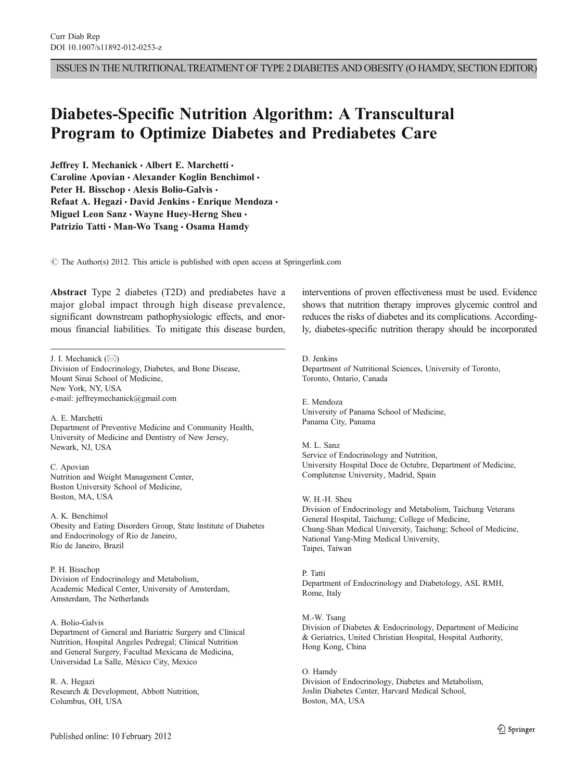ISSUES IN THE NUTRITIONALTREATMENT OF TYPE 2 DIABETES AND OBESITY (O HAMDY, SECTION EDITOR)

# Diabetes-Specific Nutrition Algorithm: A Transcultural Program to Optimize Diabetes and Prediabetes Care

Jeffrey I. Mechanick · Albert E. Marchetti · Caroline Apovian · Alexander Koglin Benchimol · Peter H. Bisschop · Alexis Bolio-Galvis · Refaat A. Hegazi · David Jenkins · Enrique Mendoza · Miguel Leon Sanz . Wayne Huey-Herng Sheu . Patrizio Tatti · Man-Wo Tsang · Osama Hamdy

 $\odot$  The Author(s) 2012. This article is published with open access at Springerlink.com

Abstract Type 2 diabetes (T2D) and prediabetes have a major global impact through high disease prevalence, significant downstream pathophysiologic effects, and enormous financial liabilities. To mitigate this disease burden,

J. I. Mechanick  $(\boxtimes)$ 

Division of Endocrinology, Diabetes, and Bone Disease, Mount Sinai School of Medicine, New York, NY, USA e-mail: jeffreymechanick@gmail.com

A. E. Marchetti Department of Preventive Medicine and Community Health, University of Medicine and Dentistry of New Jersey, Newark, NJ, USA

C. Apovian Nutrition and Weight Management Center, Boston University School of Medicine, Boston, MA, USA

A. K. Benchimol Obesity and Eating Disorders Group, State Institute of Diabetes and Endocrinology of Rio de Janeiro, Rio de Janeiro, Brazil

P. H. Bisschop Division of Endocrinology and Metabolism, Academic Medical Center, University of Amsterdam, Amsterdam, The Netherlands

## A. Bolio-Galvis

Department of General and Bariatric Surgery and Clinical Nutrition, Hospital Angeles Pedregal; Clinical Nutrition and General Surgery, Facultad Mexicana de Medicina, Universidad La Salle, México City, Mexico

R. A. Hegazi Research & Development, Abbott Nutrition, Columbus, OH, USA

interventions of proven effectiveness must be used. Evidence shows that nutrition therapy improves glycemic control and reduces the risks of diabetes and its complications. Accordingly, diabetes-specific nutrition therapy should be incorporated

D. Jenkins Department of Nutritional Sciences, University of Toronto, Toronto, Ontario, Canada

E. Mendoza University of Panama School of Medicine, Panama City, Panama

#### M. L. Sanz

Service of Endocrinology and Nutrition, University Hospital Doce de Octubre, Department of Medicine, Complutense University, Madrid, Spain

W. H.-H. Sheu

Division of Endocrinology and Metabolism, Taichung Veterans General Hospital, Taichung; College of Medicine, Chung-Shan Medical University, Taichung; School of Medicine, National Yang-Ming Medical University, Taipei, Taiwan

# P. Tatti

Department of Endocrinology and Diabetology, ASL RMH, Rome, Italy

M.-W. Tsang Division of Diabetes & Endocrinology, Department of Medicine & Geriatrics, United Christian Hospital, Hospital Authority, Hong Kong, China

O. Hamdy Division of Endocrinology, Diabetes and Metabolism, Joslin Diabetes Center, Harvard Medical School, Boston, MA, USA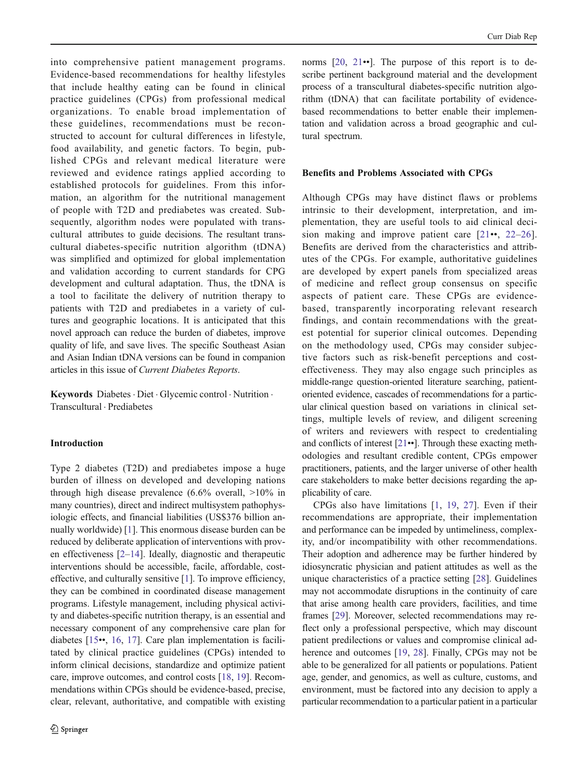into comprehensive patient management programs. Evidence-based recommendations for healthy lifestyles that include healthy eating can be found in clinical practice guidelines (CPGs) from professional medical organizations. To enable broad implementation of these guidelines, recommendations must be reconstructed to account for cultural differences in lifestyle, food availability, and genetic factors. To begin, published CPGs and relevant medical literature were reviewed and evidence ratings applied according to established protocols for guidelines. From this information, an algorithm for the nutritional management of people with T2D and prediabetes was created. Subsequently, algorithm nodes were populated with transcultural attributes to guide decisions. The resultant transcultural diabetes-specific nutrition algorithm (tDNA) was simplified and optimized for global implementation and validation according to current standards for CPG development and cultural adaptation. Thus, the tDNA is a tool to facilitate the delivery of nutrition therapy to patients with T2D and prediabetes in a variety of cultures and geographic locations. It is anticipated that this novel approach can reduce the burden of diabetes, improve quality of life, and save lives. The specific Southeast Asian and Asian Indian tDNA versions can be found in companion articles in this issue of Current Diabetes Reports.

Keywords Diabetes . Diet . Glycemic control . Nutrition . Transcultural . Prediabetes

# Introduction

Type 2 diabetes (T2D) and prediabetes impose a huge burden of illness on developed and developing nations through high disease prevalence (6.6% overall, >10% in many countries), direct and indirect multisystem pathophysiologic effects, and financial liabilities (US\$376 billion annually worldwide) [\[1](#page-10-0)]. This enormous disease burden can be reduced by deliberate application of interventions with proven effectiveness [[2](#page-11-0)–[14\]](#page-11-0). Ideally, diagnostic and therapeutic interventions should be accessible, facile, affordable, costeffective, and culturally sensitive [[1\]](#page-10-0). To improve efficiency, they can be combined in coordinated disease management programs. Lifestyle management, including physical activity and diabetes-specific nutrition therapy, is an essential and necessary component of any comprehensive care plan for diabetes [[15](#page-11-0)••, [16,](#page-11-0) [17\]](#page-11-0). Care plan implementation is facilitated by clinical practice guidelines (CPGs) intended to inform clinical decisions, standardize and optimize patient care, improve outcomes, and control costs [\[18](#page-11-0), [19\]](#page-11-0). Recommendations within CPGs should be evidence-based, precise, clear, relevant, authoritative, and compatible with existing norms [[20,](#page-11-0) [21](#page-11-0)••]. The purpose of this report is to describe pertinent background material and the development process of a transcultural diabetes-specific nutrition algorithm (tDNA) that can facilitate portability of evidencebased recommendations to better enable their implementation and validation across a broad geographic and cultural spectrum.

# Benefits and Problems Associated with CPGs

Although CPGs may have distinct flaws or problems intrinsic to their development, interpretation, and implementation, they are useful tools to aid clinical decision making and improve patient care [\[21](#page-11-0)••, [22](#page-11-0)–[26](#page-11-0)]. Benefits are derived from the characteristics and attributes of the CPGs. For example, authoritative guidelines are developed by expert panels from specialized areas of medicine and reflect group consensus on specific aspects of patient care. These CPGs are evidencebased, transparently incorporating relevant research findings, and contain recommendations with the greatest potential for superior clinical outcomes. Depending on the methodology used, CPGs may consider subjective factors such as risk-benefit perceptions and costeffectiveness. They may also engage such principles as middle-range question-oriented literature searching, patientoriented evidence, cascades of recommendations for a particular clinical question based on variations in clinical settings, multiple levels of review, and diligent screening of writers and reviewers with respect to credentialing and conflicts of interest [\[21](#page-11-0)••]. Through these exacting methodologies and resultant credible content, CPGs empower practitioners, patients, and the larger universe of other health care stakeholders to make better decisions regarding the applicability of care.

CPGs also have limitations [\[1](#page-10-0), [19,](#page-11-0) [27\]](#page-11-0). Even if their recommendations are appropriate, their implementation and performance can be impeded by untimeliness, complexity, and/or incompatibility with other recommendations. Their adoption and adherence may be further hindered by idiosyncratic physician and patient attitudes as well as the unique characteristics of a practice setting [\[28](#page-11-0)]. Guidelines may not accommodate disruptions in the continuity of care that arise among health care providers, facilities, and time frames [[29\]](#page-11-0). Moreover, selected recommendations may reflect only a professional perspective, which may discount patient predilections or values and compromise clinical ad-herence and outcomes [[19,](#page-11-0) [28\]](#page-11-0). Finally, CPGs may not be able to be generalized for all patients or populations. Patient age, gender, and genomics, as well as culture, customs, and environment, must be factored into any decision to apply a particular recommendation to a particular patient in a particular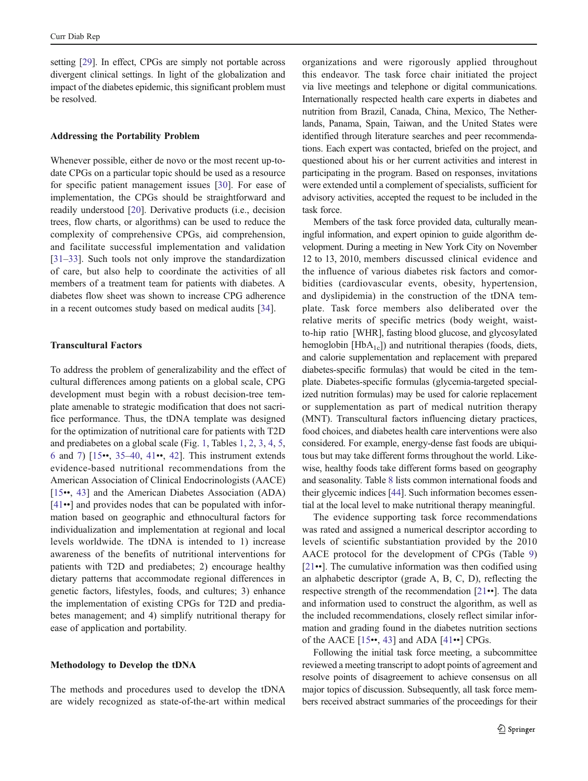setting [\[29](#page-11-0)]. In effect, CPGs are simply not portable across divergent clinical settings. In light of the globalization and impact of the diabetes epidemic, this significant problem must be resolved.

# Addressing the Portability Problem

Whenever possible, either de novo or the most recent up-todate CPGs on a particular topic should be used as a resource for specific patient management issues [[30\]](#page-11-0). For ease of implementation, the CPGs should be straightforward and readily understood [[20\]](#page-11-0). Derivative products (i.e., decision trees, flow charts, or algorithms) can be used to reduce the complexity of comprehensive CPGs, aid comprehension, and facilitate successful implementation and validation [\[31](#page-11-0)–[33](#page-11-0)]. Such tools not only improve the standardization of care, but also help to coordinate the activities of all members of a treatment team for patients with diabetes. A diabetes flow sheet was shown to increase CPG adherence in a recent outcomes study based on medical audits [\[34](#page-11-0)].

# Transcultural Factors

To address the problem of generalizability and the effect of cultural differences among patients on a global scale, CPG development must begin with a robust decision-tree template amenable to strategic modification that does not sacrifice performance. Thus, the tDNA template was designed for the optimization of nutritional care for patients with T2D and prediabetes on a global scale (Fig. [1](#page--1-0), Tables [1](#page-4-0), [2](#page-4-0), [3](#page-4-0), [4,](#page-5-0) [5,](#page-5-0) [6](#page-6-0) and [7](#page-6-0)) [[15](#page-11-0)••, [35](#page-11-0)–[40,](#page-12-0) [41](#page-12-0)••, [42\]](#page-12-0). This instrument extends evidence-based nutritional recommendations from the American Association of Clinical Endocrinologists (AACE) [\[15](#page-11-0)••, [43\]](#page-12-0) and the American Diabetes Association (ADA) [\[41](#page-12-0)••] and provides nodes that can be populated with information based on geographic and ethnocultural factors for individualization and implementation at regional and local levels worldwide. The tDNA is intended to 1) increase awareness of the benefits of nutritional interventions for patients with T2D and prediabetes; 2) encourage healthy dietary patterns that accommodate regional differences in genetic factors, lifestyles, foods, and cultures; 3) enhance the implementation of existing CPGs for T2D and prediabetes management; and 4) simplify nutritional therapy for ease of application and portability.

# Methodology to Develop the tDNA

The methods and procedures used to develop the tDNA are widely recognized as state-of-the-art within medical organizations and were rigorously applied throughout this endeavor. The task force chair initiated the project via live meetings and telephone or digital communications. Internationally respected health care experts in diabetes and nutrition from Brazil, Canada, China, Mexico, The Netherlands, Panama, Spain, Taiwan, and the United States were identified through literature searches and peer recommendations. Each expert was contacted, briefed on the project, and questioned about his or her current activities and interest in participating in the program. Based on responses, invitations were extended until a complement of specialists, sufficient for advisory activities, accepted the request to be included in the task force.

Members of the task force provided data, culturally meaningful information, and expert opinion to guide algorithm development. During a meeting in New York City on November 12 to 13, 2010, members discussed clinical evidence and the influence of various diabetes risk factors and comorbidities (cardiovascular events, obesity, hypertension, and dyslipidemia) in the construction of the tDNA template. Task force members also deliberated over the relative merits of specific metrics (body weight, waistto-hip ratio [WHR], fasting blood glucose, and glycosylated hemoglobin  $[HbA_{1c}]$ ) and nutritional therapies (foods, diets, and calorie supplementation and replacement with prepared diabetes-specific formulas) that would be cited in the template. Diabetes-specific formulas (glycemia-targeted specialized nutrition formulas) may be used for calorie replacement or supplementation as part of medical nutrition therapy (MNT). Transcultural factors influencing dietary practices, food choices, and diabetes health care interventions were also considered. For example, energy-dense fast foods are ubiquitous but may take different forms throughout the world. Likewise, healthy foods take different forms based on geography and seasonality. Table [8](#page-7-0) lists common international foods and their glycemic indices [\[44](#page-12-0)]. Such information becomes essential at the local level to make nutritional therapy meaningful.

The evidence supporting task force recommendations was rated and assigned a numerical descriptor according to levels of scientific substantiation provided by the 2010 AACE protocol for the development of CPGs (Table [9](#page-7-0)) [\[21](#page-11-0)••]. The cumulative information was then codified using an alphabetic descriptor (grade A, B, C, D), reflecting the respective strength of the recommendation [[21](#page-11-0)••]. The data and information used to construct the algorithm, as well as the included recommendations, closely reflect similar information and grading found in the diabetes nutrition sections of the AACE [[15](#page-11-0)••, [43\]](#page-12-0) and ADA [\[41](#page-12-0)••] CPGs.

Following the initial task force meeting, a subcommittee reviewed a meeting transcript to adopt points of agreement and resolve points of disagreement to achieve consensus on all major topics of discussion. Subsequently, all task force members received abstract summaries of the proceedings for their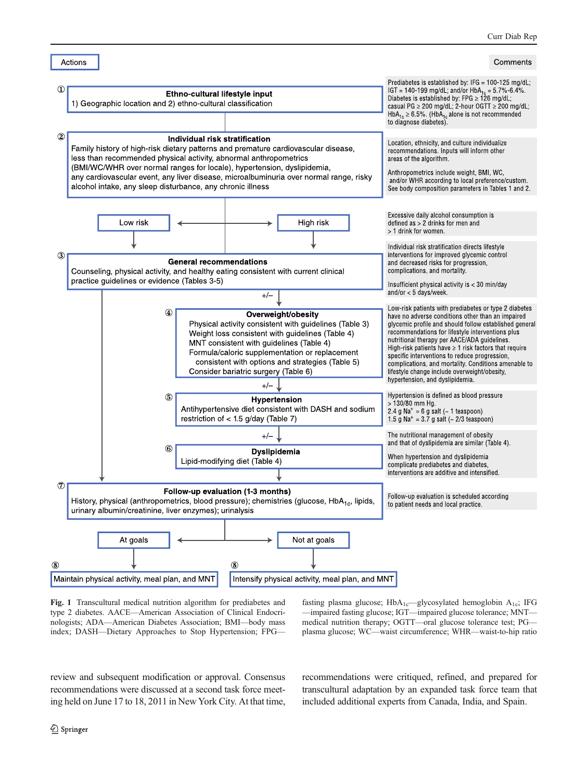

Fig. 1 Transcultural medical nutrition algorithm for prediabetes and type 2 diabetes. AACE—American Association of Clinical Endocrinologists; ADA—American Diabetes Association; BMI—body mass index; DASH—Dietary Approaches to Stop Hypertension; FPG—

review and subsequent modification or approval. Consensus recommendations were discussed at a second task force meeting held on June 17 to 18, 2011 in New York City. At that time, fasting plasma glucose;  $HbA_{1c}$ -glycosylated hemoglobin  $A_{1c}$ ; IFG —impaired fasting glucose; IGT—impaired glucose tolerance; MNT medical nutrition therapy; OGTT—oral glucose tolerance test; PG plasma glucose; WC—waist circumference; WHR—waist-to-hip ratio

recommendations were critiqued, refined, and prepared for transcultural adaptation by an expanded task force team that included additional experts from Canada, India, and Spain.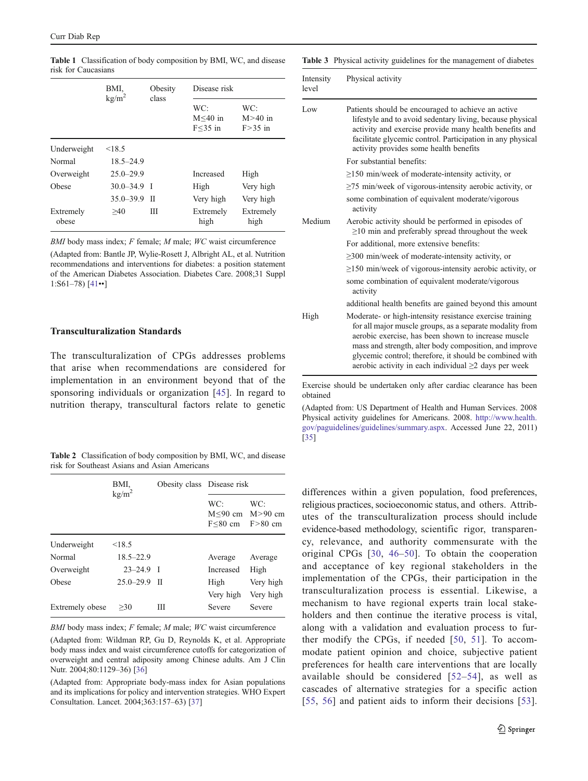|                    | BMI,<br>kg/m <sup>2</sup> | Obesity<br>class | Disease risk                  |                                   |  |
|--------------------|---------------------------|------------------|-------------------------------|-----------------------------------|--|
|                    |                           |                  | WC:<br>$M<40$ in<br>$F<35$ in | WC:<br>$M > 40$ in<br>$F > 35$ in |  |
| Underweight        | < 18.5                    |                  |                               |                                   |  |
| Normal             | $18.5 - 24.9$             |                  |                               |                                   |  |
| Overweight         | $25.0 - 29.9$             |                  | Increased                     | High                              |  |
| Obese              | $30.0 - 34.9$ I           |                  | High                          | Very high                         |  |
|                    | $35.0 - 39.9$             | П                | Very high                     | Very high                         |  |
| Extremely<br>obese | >40                       | Ш                | Extremely<br>high             | Extremely<br>high                 |  |

<span id="page-4-0"></span>Table 1 Classification of body composition by BMI, WC, and disease risk for Caucasians

BMI body mass index; F female; M male; WC waist circumference (Adapted from: Bantle JP, Wylie-Rosett J, Albright AL, et al. Nutrition recommendations and interventions for diabetes: a position statement of the American Diabetes Association. Diabetes Care. 2008;31 Suppl 1:S61–78) [\[41](#page-12-0)••]

## Transculturalization Standards

The transculturalization of CPGs addresses problems that arise when recommendations are considered for implementation in an environment beyond that of the sponsoring individuals or organization [[45](#page-12-0)]. In regard to nutrition therapy, transcultural factors relate to genetic

|                                               | <b>Table 2</b> Classification of body composition by BMI, WC, and disease |  |
|-----------------------------------------------|---------------------------------------------------------------------------|--|
| risk for Southeast Asians and Asian Americans |                                                                           |  |

|                 | BMI,              | Obesity class Disease risk |                                |                                |  |
|-----------------|-------------------|----------------------------|--------------------------------|--------------------------------|--|
|                 | kg/m <sup>2</sup> |                            | WC:<br>$F < 80$ cm $F > 80$ cm | WC:<br>$M < 90$ cm $M > 90$ cm |  |
| Underweight     | < 18.5            |                            |                                |                                |  |
| Normal          | $18.5 - 22.9$     |                            | Average                        | Average                        |  |
| Overweight      | $23 - 24.9$ I     |                            | Increased                      | High                           |  |
| Obese           | $25.0 - 29.9$ II  |                            | High                           | Very high                      |  |
| Extremely obese | >30               | Ш                          | Very high<br>Severe            | Very high<br>Severe            |  |

BMI body mass index; F female; M male; WC waist circumference

(Adapted from: Wildman RP, Gu D, Reynolds K, et al. Appropriate body mass index and waist circumference cutoffs for categorization of overweight and central adiposity among Chinese adults. Am J Clin Nutr. 2004;80:1129–36) [[36](#page-11-0)]

(Adapted from: Appropriate body-mass index for Asian populations and its implications for policy and intervention strategies. WHO Expert Consultation. Lancet. 2004;363:157–63) [[37](#page-11-0)]

#### Table 3 Physical activity guidelines for the management of diabetes

| Intensity<br>level | Physical activity                                                                                                                                                                                                                                                                                                                                              |
|--------------------|----------------------------------------------------------------------------------------------------------------------------------------------------------------------------------------------------------------------------------------------------------------------------------------------------------------------------------------------------------------|
| Low                | Patients should be encouraged to achieve an active<br>lifestyle and to avoid sedentary living, because physical<br>activity and exercise provide many health benefits and<br>facilitate glycemic control. Participation in any physical<br>activity provides some health benefits                                                                              |
|                    | For substantial benefits:                                                                                                                                                                                                                                                                                                                                      |
|                    | $\geq$ 150 min/week of moderate-intensity activity, or                                                                                                                                                                                                                                                                                                         |
|                    | $\geq$ 75 min/week of vigorous-intensity aerobic activity, or                                                                                                                                                                                                                                                                                                  |
|                    | some combination of equivalent moderate/vigorous<br>activity                                                                                                                                                                                                                                                                                                   |
| Medium             | Aerobic activity should be performed in episodes of<br>$\geq$ 10 min and preferably spread throughout the week                                                                                                                                                                                                                                                 |
|                    | For additional, more extensive benefits:                                                                                                                                                                                                                                                                                                                       |
|                    | $\geq$ 300 min/week of moderate-intensity activity, or                                                                                                                                                                                                                                                                                                         |
|                    | $\geq$ 150 min/week of vigorous-intensity aerobic activity, or                                                                                                                                                                                                                                                                                                 |
|                    | some combination of equivalent moderate/vigorous<br>activity                                                                                                                                                                                                                                                                                                   |
|                    | additional health benefits are gained beyond this amount                                                                                                                                                                                                                                                                                                       |
| High               | Moderate- or high-intensity resistance exercise training<br>for all major muscle groups, as a separate modality from<br>aerobic exercise, has been shown to increase muscle<br>mass and strength, alter body composition, and improve<br>glycemic control; therefore, it should be combined with<br>aerobic activity in each individual $\geq 2$ days per week |

Exercise should be undertaken only after cardiac clearance has been obtained

(Adapted from: US Department of Health and Human Services. 2008 Physical activity guidelines for Americans. 2008. [http://www.health.](http://www.health.gov/paguidelines/guidelines/summary.aspx) [gov/paguidelines/guidelines/summary.aspx.](http://www.health.gov/paguidelines/guidelines/summary.aspx) Accessed June 22, 2011) [[35](#page-11-0)]

differences within a given population, food preferences, religious practices, socioeconomic status, and others. Attributes of the transculturalization process should include evidence-based methodology, scientific rigor, transparency, relevance, and authority commensurate with the original CPGs [[30](#page-11-0), [46](#page-12-0)–[50\]](#page-12-0). To obtain the cooperation and acceptance of key regional stakeholders in the implementation of the CPGs, their participation in the transculturalization process is essential. Likewise, a mechanism to have regional experts train local stakeholders and then continue the iterative process is vital, along with a validation and evaluation process to further modify the CPGs, if needed [\[50,](#page-12-0) [51\]](#page-12-0). To accommodate patient opinion and choice, subjective patient preferences for health care interventions that are locally available should be considered [[52](#page-12-0)–[54\]](#page-12-0), as well as cascades of alternative strategies for a specific action [[55,](#page-12-0) [56\]](#page-12-0) and patient aids to inform their decisions [[53](#page-12-0)].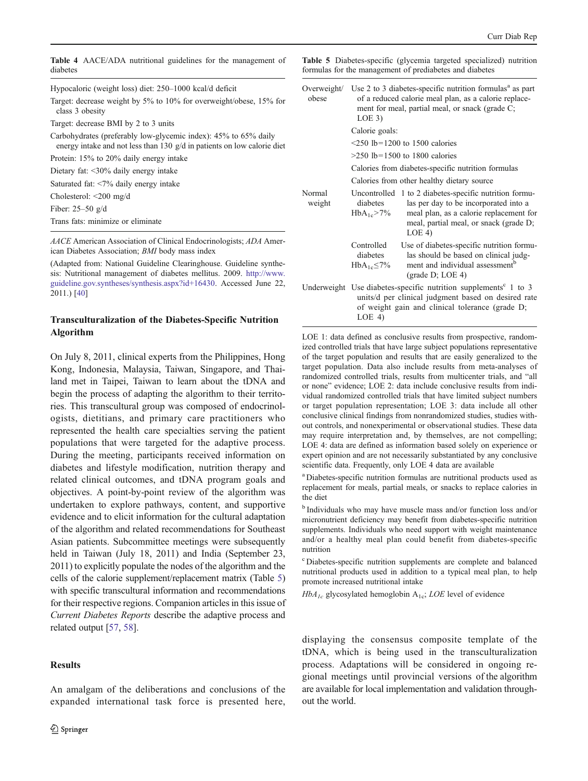<span id="page-5-0"></span>Table 4 AACE/ADA nutritional guidelines for the management of diabetes

| Hypocaloric (weight loss) diet: 250-1000 kcal/d deficit                                                                                      |
|----------------------------------------------------------------------------------------------------------------------------------------------|
| Target: decrease weight by 5% to 10% for overweight/obese, 15% for<br>class 3 obesity                                                        |
| Target: decrease BMI by 2 to 3 units                                                                                                         |
| Carbohydrates (preferably low-glycemic index): 45% to 65% daily<br>energy intake and not less than 130 $g/d$ in patients on low calorie diet |
| Protein: 15% to 20% daily energy intake                                                                                                      |
| Dietary fat: $\langle 30\%$ daily energy intake                                                                                              |
| Saturated fat: $\langle 7\%$ daily energy intake                                                                                             |
| Cholesterol: $\leq$ 200 mg/d                                                                                                                 |
| Fiber: $25-50$ g/d                                                                                                                           |
| Trans fats: minimize or eliminate                                                                                                            |

AACE American Association of Clinical Endocrinologists; ADA American Diabetes Association; BMI body mass index

(Adapted from: National Guideline Clearinghouse. Guideline synthesis: Nutritional management of diabetes mellitus. 2009. [http://www.](http://www.guideline.gov.syntheses/synthesis.aspx?id+16430) [guideline.gov.syntheses/synthesis.aspx?id+16430.](http://www.guideline.gov.syntheses/synthesis.aspx?id+16430) Accessed June 22, 2011.) [[40](#page-12-0)]

# Transculturalization of the Diabetes-Specific Nutrition Algorithm

On July 8, 2011, clinical experts from the Philippines, Hong Kong, Indonesia, Malaysia, Taiwan, Singapore, and Thailand met in Taipei, Taiwan to learn about the tDNA and begin the process of adapting the algorithm to their territories. This transcultural group was composed of endocrinologists, dietitians, and primary care practitioners who represented the health care specialties serving the patient populations that were targeted for the adaptive process. During the meeting, participants received information on diabetes and lifestyle modification, nutrition therapy and related clinical outcomes, and tDNA program goals and objectives. A point-by-point review of the algorithm was undertaken to explore pathways, content, and supportive evidence and to elicit information for the cultural adaptation of the algorithm and related recommendations for Southeast Asian patients. Subcommittee meetings were subsequently held in Taiwan (July 18, 2011) and India (September 23, 2011) to explicitly populate the nodes of the algorithm and the cells of the calorie supplement/replacement matrix (Table 5) with specific transcultural information and recommendations for their respective regions. Companion articles in this issue of Current Diabetes Reports describe the adaptive process and related output [\[57](#page-12-0), [58\]](#page-12-0).

# **Results**

An amalgam of the deliberations and conclusions of the expanded international task force is presented here, Table 5 Diabetes-specific (glycemia targeted specialized) nutrition formulas for the management of prediabetes and diabetes

| obese            | Overweight/ Use 2 to 3 diabetes-specific nutrition formulas <sup>a</sup> as part<br>of a reduced calorie meal plan, as a calorie replace-<br>ment for meal, partial meal, or snack (grade C;<br>$LOE_3$                         |  |  |
|------------------|---------------------------------------------------------------------------------------------------------------------------------------------------------------------------------------------------------------------------------|--|--|
|                  | Calorie goals:                                                                                                                                                                                                                  |  |  |
|                  | $\leq$ 250 lb=1200 to 1500 calories                                                                                                                                                                                             |  |  |
|                  | $>250$ lb=1500 to 1800 calories                                                                                                                                                                                                 |  |  |
|                  | Calories from diabetes-specific nutrition formulas                                                                                                                                                                              |  |  |
|                  | Calories from other healthy dietary source                                                                                                                                                                                      |  |  |
| Normal<br>weight | Uncontrolled 1 to 2 diabetes-specific nutrition formu-<br>diabetes<br>las per day to be incorporated into a<br>$HbA_{1c}$ > 7%<br>meal plan, as a calorie replacement for<br>meal, partial meal, or snack (grade D;<br>$LOE$ 4) |  |  |
|                  | Controlled<br>Use of diabetes-specific nutrition formu-<br>diabetes<br>las should be based on clinical judg-<br>ment and individual assessment <sup>b</sup><br>$HbA_{1c} \leq 7\%$<br>(grade $D$ ; LOE 4)                       |  |  |
|                  | Underweight Use diabetes-specific nutrition supplements <sup>c</sup> 1 to 3<br>units/d per clinical judgment based on desired rate<br>of weight gain and clinical tolerance (grade D;<br>LOE 4)                                 |  |  |

LOE 1: data defined as conclusive results from prospective, randomized controlled trials that have large subject populations representative of the target population and results that are easily generalized to the target population. Data also include results from meta-analyses of randomized controlled trials, results from multicenter trials, and "all or none" evidence; LOE 2: data include conclusive results from individual randomized controlled trials that have limited subject numbers or target population representation; LOE 3: data include all other conclusive clinical findings from nonrandomized studies, studies without controls, and nonexperimental or observational studies. These data may require interpretation and, by themselves, are not compelling; LOE 4: data are defined as information based solely on experience or expert opinion and are not necessarily substantiated by any conclusive scientific data. Frequently, only LOE 4 data are available

<sup>a</sup> Diabetes-specific nutrition formulas are nutritional products used as replacement for meals, partial meals, or snacks to replace calories in the diet

<sup>b</sup> Individuals who may have muscle mass and/or function loss and/or micronutrient deficiency may benefit from diabetes-specific nutrition supplements. Individuals who need support with weight maintenance and/or a healthy meal plan could benefit from diabetes-specific nutrition

<sup>c</sup> Diabetes-specific nutrition supplements are complete and balanced nutritional products used in addition to a typical meal plan, to help promote increased nutritional intake

 $HbA_{1c}$  glycosylated hemoglobin  $A_{1c}$ ; *LOE* level of evidence

displaying the consensus composite template of the tDNA, which is being used in the transculturalization process. Adaptations will be considered in ongoing regional meetings until provincial versions of the algorithm are available for local implementation and validation throughout the world.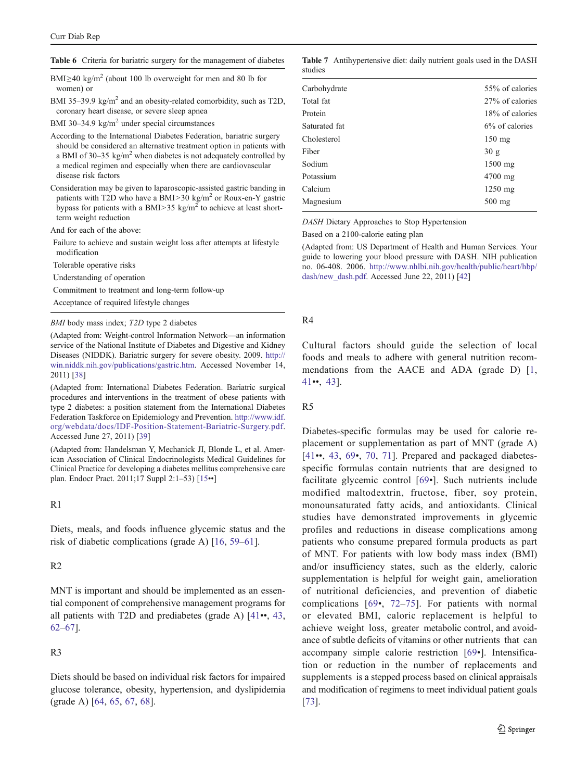<span id="page-6-0"></span>

|  |  |  |  |  |  | Table 6 Criteria for bariatric surgery for the management of diabetes |  |  |
|--|--|--|--|--|--|-----------------------------------------------------------------------|--|--|
|--|--|--|--|--|--|-----------------------------------------------------------------------|--|--|

BMI $\geq$ 40 kg/m<sup>2</sup> (about 100 lb overweight for men and 80 lb for women) or

BMI 35–39.9 kg/ $m^2$  and an obesity-related comorbidity, such as T2D, coronary heart disease, or severe sleep apnea

BMI 30–34.9 kg/ $m^2$  under special circumstances

According to the International Diabetes Federation, bariatric surgery should be considered an alternative treatment option in patients with a BMI of  $30-35 \text{ kg/m}^2$  when diabetes is not adequately controlled by a medical regimen and especially when there are cardiovascular disease risk factors

Consideration may be given to laparoscopic-assisted gastric banding in patients with T2D who have a BMI $>$ 30 kg/m<sup>2</sup> or Roux-en-Y gastric bypass for patients with a BMI $>$ 35 kg/m<sup>2</sup> to achieve at least shortterm weight reduction

And for each of the above:

Failure to achieve and sustain weight loss after attempts at lifestyle modification

Tolerable operative risks

Understanding of operation

Commitment to treatment and long-term follow-up

Acceptance of required lifestyle changes

## BMI body mass index; T2D type 2 diabetes

(Adapted from: Weight-control Information Network—an information service of the National Institute of Diabetes and Digestive and Kidney Diseases (NIDDK). Bariatric surgery for severe obesity. 2009. [http://](http://win.niddk.nih.gov/publications/gastric.htm) [win.niddk.nih.gov/publications/gastric.htm](http://win.niddk.nih.gov/publications/gastric.htm). Accessed November 14, 2011) [[38](#page-11-0)]

(Adapted from: International Diabetes Federation. Bariatric surgical procedures and interventions in the treatment of obese patients with type 2 diabetes: a position statement from the International Diabetes Federation Taskforce on Epidemiology and Prevention. [http://www.idf.](http://www.idf.org/webdata/docs/IDF-Position-Statement-Bariatric-Surgery.pdf) [org/webdata/docs/IDF-Position-Statement-Bariatric-Surgery.pdf.](http://www.idf.org/webdata/docs/IDF-Position-Statement-Bariatric-Surgery.pdf) Accessed June 27, 2011) [[39](#page-12-0)]

(Adapted from: Handelsman Y, Mechanick JI, Blonde L, et al. American Association of Clinical Endocrinologists Medical Guidelines for Clinical Practice for developing a diabetes mellitus comprehensive care plan. Endocr Pract. 2011;17 Suppl 2:1–53) [\[15](#page-11-0)••]

## R1

Diets, meals, and foods influence glycemic status and the risk of diabetic complications (grade A) [\[16](#page-11-0), [59](#page-12-0)–[61\]](#page-12-0).

# R2

MNT is important and should be implemented as an essential component of comprehensive management programs for all patients with T2D and prediabetes (grade A) [[41](#page-12-0)••, [43,](#page-12-0) [62](#page-12-0)–[67\]](#page-12-0).

#### R3

Diets should be based on individual risk factors for impaired glucose tolerance, obesity, hypertension, and dyslipidemia (grade A) [[64,](#page-12-0) [65](#page-12-0), [67,](#page-12-0) [68](#page-12-0)].

#### Table 7 Antihypertensive diet: daily nutrient goals used in the DASH studies

| Carbohydrate  | 55% of calories   |
|---------------|-------------------|
| Total fat     | 27% of calories   |
| Protein       | 18% of calories   |
| Saturated fat | $6\%$ of calories |
| Cholesterol   | $150 \text{ mg}$  |
| Fiber         | 30g               |
| Sodium        | 1500 mg           |
| Potassium     | $4700$ mg         |
| Calcium       | $1250$ mg         |
| Magnesium     | $500$ mg          |
|               |                   |

DASH Dietary Approaches to Stop Hypertension

Based on a 2100-calorie eating plan

(Adapted from: US Department of Health and Human Services. Your guide to lowering your blood pressure with DASH. NIH publication no. 06-408. 2006. [http://www.nhlbi.nih.gov/health/public/heart/hbp/](http://www.nhlbi.nih.gov/health/public/heart/hbp/dash/new_dash.pdf) [dash/new\\_dash.pdf.](http://www.nhlbi.nih.gov/health/public/heart/hbp/dash/new_dash.pdf) Accessed June 22, 2011) [[42](#page-12-0)]

#### R4

Cultural factors should guide the selection of local foods and meals to adhere with general nutrition recommendations from the AACE and ADA (grade D) [[1,](#page-10-0) [41](#page-12-0)••, [43\]](#page-12-0).

#### R5

Diabetes-specific formulas may be used for calorie replacement or supplementation as part of MNT (grade A) [\[41](#page-12-0)••, [43](#page-12-0), [69](#page-12-0)•, [70,](#page-12-0) [71](#page-12-0)]. Prepared and packaged diabetesspecific formulas contain nutrients that are designed to facilitate glycemic control [[69](#page-12-0)•]. Such nutrients include modified maltodextrin, fructose, fiber, soy protein, monounsaturated fatty acids, and antioxidants. Clinical studies have demonstrated improvements in glycemic profiles and reductions in disease complications among patients who consume prepared formula products as part of MNT. For patients with low body mass index (BMI) and/or insufficiency states, such as the elderly, caloric supplementation is helpful for weight gain, amelioration of nutritional deficiencies, and prevention of diabetic complications [[69](#page-12-0)•, [72](#page-12-0)–[75](#page-12-0)]. For patients with normal or elevated BMI, caloric replacement is helpful to achieve weight loss, greater metabolic control, and avoidance of subtle deficits of vitamins or other nutrients that can accompany simple calorie restriction [\[69](#page-12-0)•]. Intensification or reduction in the number of replacements and supplements is a stepped process based on clinical appraisals and modification of regimens to meet individual patient goals [\[73](#page-12-0)].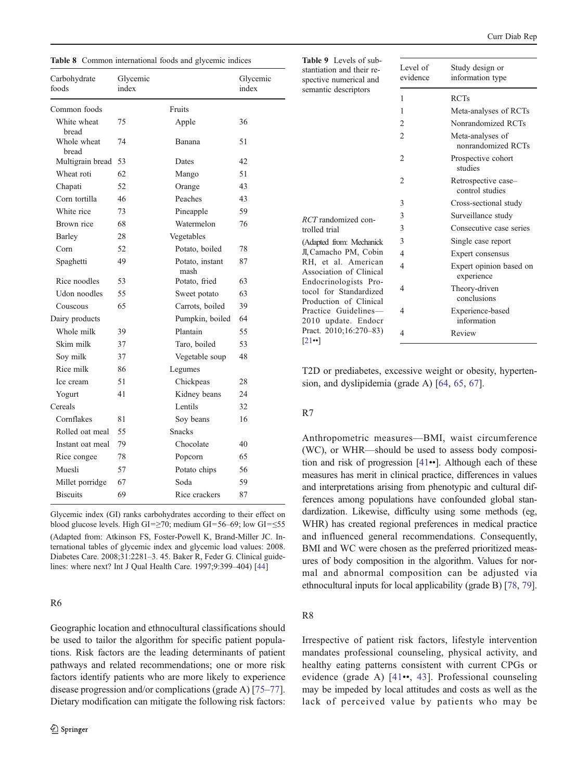<span id="page-7-0"></span>

|  |  | Table 8 Common international foods and glycemic indices |  |  |  |  |  |
|--|--|---------------------------------------------------------|--|--|--|--|--|
|--|--|---------------------------------------------------------|--|--|--|--|--|

| Carbohydrate<br>foods | Glycemic<br>index |                         | Glycemic<br>index |
|-----------------------|-------------------|-------------------------|-------------------|
| Common foods          |                   | Fruits                  |                   |
| White wheat<br>bread  | 75                | Apple                   | 36                |
| Whole wheat<br>bread  | 74                | Banana                  | 51                |
| Multigrain bread      | 53                | Dates                   | 42                |
| Wheat roti            | 62                | Mango                   | 51                |
| Chapati               | 52                | Orange                  | 43                |
| Corn tortilla         | 46                | Peaches                 | 43                |
| White rice            | 73                | Pineapple               | 59                |
| Brown rice            | 68                | Watermelon              | 76                |
| Barley                | 28                | Vegetables              |                   |
| Corn                  | 52                | Potato, boiled          | 78                |
| Spaghetti             | 49                | Potato, instant<br>mash | 87                |
| Rice noodles          | 53                | Potato, fried           | 63                |
| Udon noodles          | 55                | Sweet potato            | 63                |
| Couscous              | 65                | Carrots, boiled         | 39                |
| Dairy products        |                   | Pumpkin, boiled         | 64                |
| Whole milk            | 39                | Plantain                | 55                |
| Skim milk             | 37                | Taro, boiled            | 53                |
| Soy milk              | 37                | Vegetable soup          | 48                |
| Rice milk             | 86                | Legumes                 |                   |
| Ice cream             | 51                | Chickpeas               | 28                |
| Yogurt                | 41                | Kidney beans            | 24                |
| Cereals               |                   | Lentils                 | 32                |
| Cornflakes            | 81                | Soy beans               | 16                |
| Rolled oat meal       | 55                | <b>Snacks</b>           |                   |
| Instant oat meal      | 79                | Chocolate               | 40                |
| Rice congee           | 78                | Popcorn                 | 65                |
| Muesli                | 57                | Potato chips            | 56                |
| Millet porridge       | 67                | Soda                    | 59                |
| <b>Biscuits</b>       | 69                | Rice crackers           | 87                |

Glycemic index (GI) ranks carbohydrates according to their effect on blood glucose levels. High GI= $\geq$ 70; medium GI=56–69; low GI= $\leq$ 55 (Adapted from: Atkinson FS, Foster-Powell K, Brand-Miller JC. International tables of glycemic index and glycemic load values: 2008. Diabetes Care. 2008;31:2281–3. 45. Baker R, Feder G. Clinical guidelines: where next? Int J Qual Health Care. 1997;9:399–404) [[44](#page-12-0)]

# R6

Geographic location and ethnocultural classifications should be used to tailor the algorithm for specific patient populations. Risk factors are the leading determinants of patient pathways and related recommendations; one or more risk factors identify patients who are more likely to experience disease progression and/or complications (grade A) [\[75](#page-12-0)–[77](#page-13-0)]. Dietary modification can mitigate the following risk factors:

| <b>Table 9</b> Levels of sub-<br>stantiation and their re-<br>spective numerical and | Level of<br>evidence | Study design or<br>information type    |  |  |
|--------------------------------------------------------------------------------------|----------------------|----------------------------------------|--|--|
| semantic descriptors                                                                 | 1                    | <b>RCTs</b>                            |  |  |
|                                                                                      | 1                    | Meta-analyses of RCTs                  |  |  |
|                                                                                      | $\overline{c}$       | Nonrandomized RCTs                     |  |  |
|                                                                                      | $\overline{2}$       | Meta-analyses of<br>nonrandomized RCTs |  |  |
|                                                                                      | $\overline{2}$       | Prospective cohort<br>studies          |  |  |
|                                                                                      | $\overline{2}$       | Retrospective case-<br>control studies |  |  |
|                                                                                      | 3                    | Cross-sectional study                  |  |  |
| RCT randomized con-                                                                  | 3                    | Surveillance study                     |  |  |
| trolled trial                                                                        | 3                    | Consecutive case series                |  |  |
| (Adapted from: Mechanick                                                             | 3                    | Single case report                     |  |  |
| JI, Camacho PM, Cobin                                                                | $\overline{4}$       | Expert consensus                       |  |  |
| RH, et al. American<br>Association of Clinical<br>Endocrinologists Pro-              | 4                    | Expert opinion based on<br>experience  |  |  |
| tocol for Standardized<br>Production of Clinical                                     | 4                    | Theory-driven<br>conclusions           |  |  |
| Practice Guidelines-<br>2010 update. Endocr                                          | $\overline{4}$       | Experience-based<br>information        |  |  |
| Pract. 2010;16:270-83)<br>$\lceil 21 \cdot \cdot \rceil$                             | 4                    | Review                                 |  |  |

T2D or prediabetes, excessive weight or obesity, hypertension, and dyslipidemia (grade A) [\[64](#page-12-0), [65,](#page-12-0) [67](#page-12-0)].

# R7

Anthropometric measures—BMI, waist circumference (WC), or WHR—should be used to assess body composition and risk of progression [[41](#page-12-0)••]. Although each of these measures has merit in clinical practice, differences in values and interpretations arising from phenotypic and cultural differences among populations have confounded global standardization. Likewise, difficulty using some methods (eg, WHR) has created regional preferences in medical practice and influenced general recommendations. Consequently, BMI and WC were chosen as the preferred prioritized measures of body composition in the algorithm. Values for normal and abnormal composition can be adjusted via ethnocultural inputs for local applicability (grade B) [\[78,](#page-13-0) [79\]](#page-13-0).

# R8

Irrespective of patient risk factors, lifestyle intervention mandates professional counseling, physical activity, and healthy eating patterns consistent with current CPGs or evidence (grade A) [\[41](#page-12-0)••, [43\]](#page-12-0). Professional counseling may be impeded by local attitudes and costs as well as the lack of perceived value by patients who may be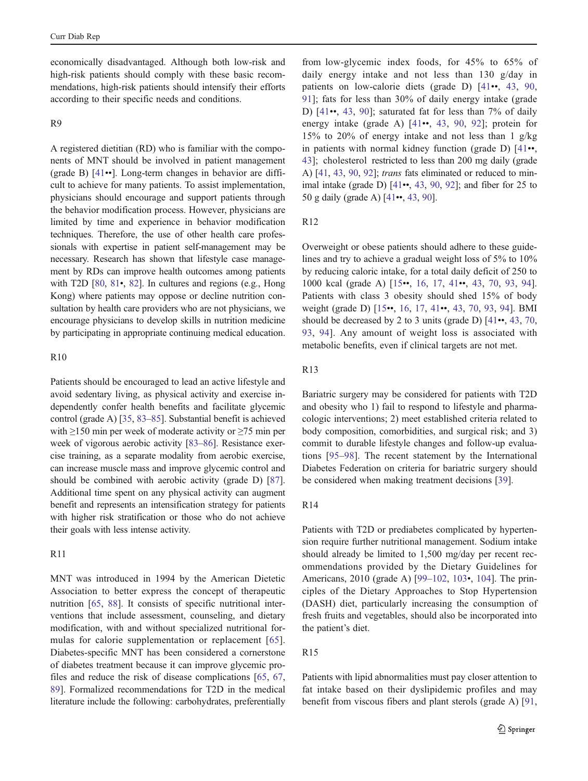economically disadvantaged. Although both low-risk and high-risk patients should comply with these basic recommendations, high-risk patients should intensify their efforts according to their specific needs and conditions.

## R9

A registered dietitian (RD) who is familiar with the components of MNT should be involved in patient management (grade B) [\[41](#page-12-0)••]. Long-term changes in behavior are difficult to achieve for many patients. To assist implementation, physicians should encourage and support patients through the behavior modification process. However, physicians are limited by time and experience in behavior modification techniques. Therefore, the use of other health care professionals with expertise in patient self-management may be necessary. Research has shown that lifestyle case management by RDs can improve health outcomes among patients with T2D [\[80,](#page-13-0) [81](#page-13-0)•, [82\]](#page-13-0). In cultures and regions (e.g., Hong Kong) where patients may oppose or decline nutrition consultation by health care providers who are not physicians, we encourage physicians to develop skills in nutrition medicine by participating in appropriate continuing medical education.

# R10

Patients should be encouraged to lead an active lifestyle and avoid sedentary living, as physical activity and exercise independently confer health benefits and facilitate glycemic control (grade A) [[35,](#page-11-0) [83](#page-13-0)–[85](#page-13-0)]. Substantial benefit is achieved with ≥150 min per week of moderate activity or ≥75 min per week of vigorous aerobic activity [\[83](#page-13-0)–[86\]](#page-13-0). Resistance exercise training, as a separate modality from aerobic exercise, can increase muscle mass and improve glycemic control and should be combined with aerobic activity (grade D) [[87](#page-13-0)]. Additional time spent on any physical activity can augment benefit and represents an intensification strategy for patients with higher risk stratification or those who do not achieve their goals with less intense activity.

# R11

MNT was introduced in 1994 by the American Dietetic Association to better express the concept of therapeutic nutrition [[65,](#page-12-0) [88](#page-13-0)]. It consists of specific nutritional interventions that include assessment, counseling, and dietary modification, with and without specialized nutritional formulas for calorie supplementation or replacement [[65](#page-12-0)]. Diabetes-specific MNT has been considered a cornerstone of diabetes treatment because it can improve glycemic profiles and reduce the risk of disease complications [\[65](#page-12-0), [67,](#page-12-0) [89\]](#page-13-0). Formalized recommendations for T2D in the medical literature include the following: carbohydrates, preferentially from low-glycemic index foods, for 45% to 65% of daily energy intake and not less than 130 g/day in patients on low-calorie diets (grade D) [\[41](#page-12-0)••, [43](#page-12-0), [90,](#page-13-0) [91](#page-13-0)]; fats for less than 30% of daily energy intake (grade D)  $[41\bullet 43, 90]$  $[41\bullet 43, 90]$  $[41\bullet 43, 90]$  $[41\bullet 43, 90]$  $[41\bullet 43, 90]$  $[41\bullet 43, 90]$  $[41\bullet 43, 90]$ ; saturated fat for less than  $7\%$  of daily energy intake (grade A) [[41](#page-12-0)••, [43,](#page-12-0) [90](#page-13-0), [92\]](#page-13-0); protein for 15% to 20% of energy intake and not less than 1 g/kg in patients with normal kidney function (grade D) [[41](#page-12-0)••, [43](#page-12-0)]; cholesterol restricted to less than 200 mg daily (grade A) [[41](#page-12-0), [43,](#page-12-0) [90,](#page-13-0) [92](#page-13-0)]; trans fats eliminated or reduced to minimal intake (grade D) [\[41](#page-12-0)••, [43](#page-12-0), [90,](#page-13-0) [92](#page-13-0)]; and fiber for 25 to 50 g daily (grade A) [\[41](#page-12-0)••, [43,](#page-12-0) [90\]](#page-13-0).

## R12

Overweight or obese patients should adhere to these guidelines and try to achieve a gradual weight loss of 5% to 10% by reducing caloric intake, for a total daily deficit of 250 to 1000 kcal (grade A) [\[15](#page-11-0)••, [16,](#page-11-0) [17](#page-11-0), [41](#page-12-0)••, [43,](#page-12-0) [70](#page-12-0), [93,](#page-13-0) [94\]](#page-13-0). Patients with class 3 obesity should shed 15% of body weight (grade D) [[15](#page-11-0)••, [16,](#page-11-0) [17](#page-11-0), [41](#page-12-0)••, [43,](#page-12-0) [70,](#page-12-0) [93,](#page-13-0) [94](#page-13-0)]. BMI should be decreased by 2 to 3 units (grade D) [\[41](#page-12-0)••, [43,](#page-12-0) [70,](#page-12-0) [93](#page-13-0), [94\]](#page-13-0). Any amount of weight loss is associated with metabolic benefits, even if clinical targets are not met.

# R13

Bariatric surgery may be considered for patients with T2D and obesity who 1) fail to respond to lifestyle and pharmacologic interventions; 2) meet established criteria related to body composition, comorbidities, and surgical risk; and 3) commit to durable lifestyle changes and follow-up evaluations [[95](#page-13-0)–[98\]](#page-13-0). The recent statement by the International Diabetes Federation on criteria for bariatric surgery should be considered when making treatment decisions [[39\]](#page-12-0).

# R14

Patients with T2D or prediabetes complicated by hypertension require further nutritional management. Sodium intake should already be limited to 1,500 mg/day per recent recommendations provided by the Dietary Guidelines for Americans, 2010 (grade A) [[99](#page-13-0)–[102,](#page-13-0) [103](#page-13-0)•, [104\]](#page-13-0). The principles of the Dietary Approaches to Stop Hypertension (DASH) diet, particularly increasing the consumption of fresh fruits and vegetables, should also be incorporated into the patient's diet.

## R15

Patients with lipid abnormalities must pay closer attention to fat intake based on their dyslipidemic profiles and may benefit from viscous fibers and plant sterols (grade A) [[91,](#page-13-0)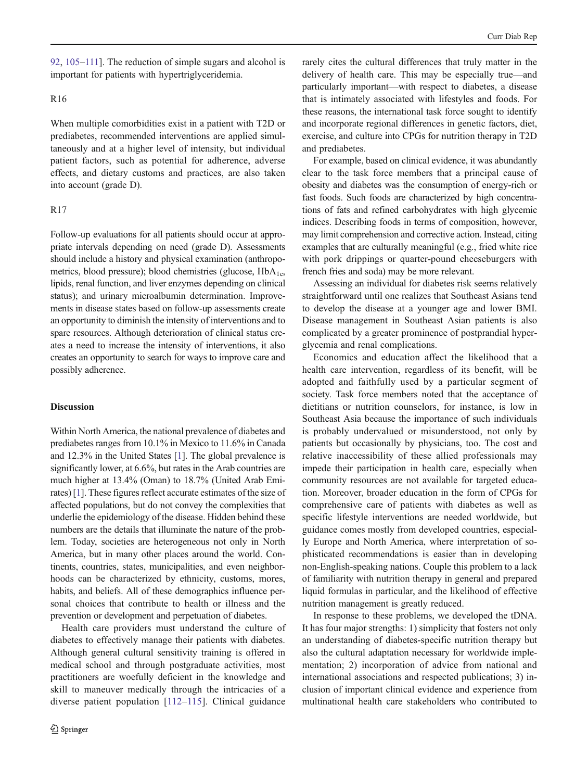[92](#page-13-0), [105](#page-13-0)–[111](#page-13-0)]. The reduction of simple sugars and alcohol is important for patients with hypertriglyceridemia.

# R16

When multiple comorbidities exist in a patient with T2D or prediabetes, recommended interventions are applied simultaneously and at a higher level of intensity, but individual patient factors, such as potential for adherence, adverse effects, and dietary customs and practices, are also taken into account (grade D).

# R17

Follow-up evaluations for all patients should occur at appropriate intervals depending on need (grade D). Assessments should include a history and physical examination (anthropometrics, blood pressure); blood chemistries (glucose,  $HbA_{1c}$ , lipids, renal function, and liver enzymes depending on clinical status); and urinary microalbumin determination. Improvements in disease states based on follow-up assessments create an opportunity to diminish the intensity of interventions and to spare resources. Although deterioration of clinical status creates a need to increase the intensity of interventions, it also creates an opportunity to search for ways to improve care and possibly adherence.

# **Discussion**

Within North America, the national prevalence of diabetes and prediabetes ranges from 10.1% in Mexico to 11.6% in Canada and 12.3% in the United States [[1](#page-10-0)]. The global prevalence is significantly lower, at 6.6%, but rates in the Arab countries are much higher at 13.4% (Oman) to 18.7% (United Arab Emirates) [\[1](#page-10-0)]. These figures reflect accurate estimates of the size of affected populations, but do not convey the complexities that underlie the epidemiology of the disease. Hidden behind these numbers are the details that illuminate the nature of the problem. Today, societies are heterogeneous not only in North America, but in many other places around the world. Continents, countries, states, municipalities, and even neighborhoods can be characterized by ethnicity, customs, mores, habits, and beliefs. All of these demographics influence personal choices that contribute to health or illness and the prevention or development and perpetuation of diabetes.

Health care providers must understand the culture of diabetes to effectively manage their patients with diabetes. Although general cultural sensitivity training is offered in medical school and through postgraduate activities, most practitioners are woefully deficient in the knowledge and skill to maneuver medically through the intricacies of a diverse patient population [\[112](#page-14-0)–[115\]](#page-14-0). Clinical guidance

rarely cites the cultural differences that truly matter in the delivery of health care. This may be especially true—and particularly important—with respect to diabetes, a disease that is intimately associated with lifestyles and foods. For these reasons, the international task force sought to identify and incorporate regional differences in genetic factors, diet, exercise, and culture into CPGs for nutrition therapy in T2D and prediabetes.

For example, based on clinical evidence, it was abundantly clear to the task force members that a principal cause of obesity and diabetes was the consumption of energy-rich or fast foods. Such foods are characterized by high concentrations of fats and refined carbohydrates with high glycemic indices. Describing foods in terms of composition, however, may limit comprehension and corrective action. Instead, citing examples that are culturally meaningful (e.g., fried white rice with pork drippings or quarter-pound cheeseburgers with french fries and soda) may be more relevant.

Assessing an individual for diabetes risk seems relatively straightforward until one realizes that Southeast Asians tend to develop the disease at a younger age and lower BMI. Disease management in Southeast Asian patients is also complicated by a greater prominence of postprandial hyperglycemia and renal complications.

Economics and education affect the likelihood that a health care intervention, regardless of its benefit, will be adopted and faithfully used by a particular segment of society. Task force members noted that the acceptance of dietitians or nutrition counselors, for instance, is low in Southeast Asia because the importance of such individuals is probably undervalued or misunderstood, not only by patients but occasionally by physicians, too. The cost and relative inaccessibility of these allied professionals may impede their participation in health care, especially when community resources are not available for targeted education. Moreover, broader education in the form of CPGs for comprehensive care of patients with diabetes as well as specific lifestyle interventions are needed worldwide, but guidance comes mostly from developed countries, especially Europe and North America, where interpretation of sophisticated recommendations is easier than in developing non-English-speaking nations. Couple this problem to a lack of familiarity with nutrition therapy in general and prepared liquid formulas in particular, and the likelihood of effective nutrition management is greatly reduced.

In response to these problems, we developed the tDNA. It has four major strengths: 1) simplicity that fosters not only an understanding of diabetes-specific nutrition therapy but also the cultural adaptation necessary for worldwide implementation; 2) incorporation of advice from national and international associations and respected publications; 3) inclusion of important clinical evidence and experience from multinational health care stakeholders who contributed to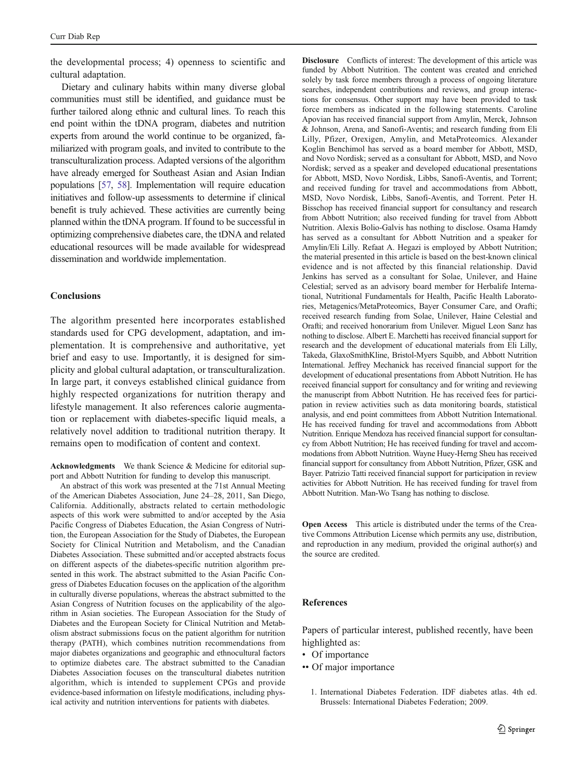<span id="page-10-0"></span>the developmental process; 4) openness to scientific and cultural adaptation.

Dietary and culinary habits within many diverse global communities must still be identified, and guidance must be further tailored along ethnic and cultural lines. To reach this end point within the tDNA program, diabetes and nutrition experts from around the world continue to be organized, familiarized with program goals, and invited to contribute to the transculturalization process. Adapted versions of the algorithm have already emerged for Southeast Asian and Asian Indian populations [[57](#page-12-0), [58](#page-12-0)]. Implementation will require education initiatives and follow-up assessments to determine if clinical benefit is truly achieved. These activities are currently being planned within the tDNA program. If found to be successful in optimizing comprehensive diabetes care, the tDNA and related educational resources will be made available for widespread dissemination and worldwide implementation.

# Conclusions

The algorithm presented here incorporates established standards used for CPG development, adaptation, and implementation. It is comprehensive and authoritative, yet brief and easy to use. Importantly, it is designed for simplicity and global cultural adaptation, or transculturalization. In large part, it conveys established clinical guidance from highly respected organizations for nutrition therapy and lifestyle management. It also references calorie augmentation or replacement with diabetes-specific liquid meals, a relatively novel addition to traditional nutrition therapy. It remains open to modification of content and context.

Acknowledgments We thank Science & Medicine for editorial support and Abbott Nutrition for funding to develop this manuscript.

An abstract of this work was presented at the 71st Annual Meeting of the American Diabetes Association, June 24–28, 2011, San Diego, California. Additionally, abstracts related to certain methodologic aspects of this work were submitted to and/or accepted by the Asia Pacific Congress of Diabetes Education, the Asian Congress of Nutrition, the European Association for the Study of Diabetes, the European Society for Clinical Nutrition and Metabolism, and the Canadian Diabetes Association. These submitted and/or accepted abstracts focus on different aspects of the diabetes-specific nutrition algorithm presented in this work. The abstract submitted to the Asian Pacific Congress of Diabetes Education focuses on the application of the algorithm in culturally diverse populations, whereas the abstract submitted to the Asian Congress of Nutrition focuses on the applicability of the algorithm in Asian societies. The European Association for the Study of Diabetes and the European Society for Clinical Nutrition and Metabolism abstract submissions focus on the patient algorithm for nutrition therapy (PATH), which combines nutrition recommendations from major diabetes organizations and geographic and ethnocultural factors to optimize diabetes care. The abstract submitted to the Canadian Diabetes Association focuses on the transcultural diabetes nutrition algorithm, which is intended to supplement CPGs and provide evidence-based information on lifestyle modifications, including physical activity and nutrition interventions for patients with diabetes.

Disclosure Conflicts of interest: The development of this article was funded by Abbott Nutrition. The content was created and enriched solely by task force members through a process of ongoing literature searches, independent contributions and reviews, and group interactions for consensus. Other support may have been provided to task force members as indicated in the following statements. Caroline Apovian has received financial support from Amylin, Merck, Johnson & Johnson, Arena, and Sanofi-Aventis; and research funding from Eli Lilly, Pfizer, Orexigen, Amylin, and MetaProteomics. Alexander Koglin Benchimol has served as a board member for Abbott, MSD, and Novo Nordisk; served as a consultant for Abbott, MSD, and Novo Nordisk; served as a speaker and developed educational presentations for Abbott, MSD, Novo Nordisk, Libbs, Sanofi-Aventis, and Torrent; and received funding for travel and accommodations from Abbott, MSD, Novo Nordisk, Libbs, Sanofi-Aventis, and Torrent. Peter H. Bisschop has received financial support for consultancy and research from Abbott Nutrition; also received funding for travel from Abbott Nutrition. Alexis Bolio-Galvis has nothing to disclose. Osama Hamdy has served as a consultant for Abbott Nutrition and a speaker for Amylin/Eli Lilly. Refaat A. Hegazi is employed by Abbott Nutrition; the material presented in this article is based on the best-known clinical evidence and is not affected by this financial relationship. David Jenkins has served as a consultant for Solae, Unilever, and Haine Celestial; served as an advisory board member for Herbalife International, Nutritional Fundamentals for Health, Pacific Health Laboratories, Metagenics/MetaProteomics, Bayer Consumer Care, and Orafti; received research funding from Solae, Unilever, Haine Celestial and Orafti; and received honorarium from Unilever. Miguel Leon Sanz has nothing to disclose. Albert E. Marchetti has received financial support for research and the development of educational materials from Eli Lilly, Takeda, GlaxoSmithKline, Bristol-Myers Squibb, and Abbott Nutrition International. Jeffrey Mechanick has received financial support for the development of educational presentations from Abbott Nutrition. He has received financial support for consultancy and for writing and reviewing the manuscript from Abbott Nutrition. He has received fees for participation in review activities such as data monitoring boards, statistical analysis, and end point committees from Abbott Nutrition International. He has received funding for travel and accommodations from Abbott Nutrition. Enrique Mendoza has received financial support for consultancy from Abbott Nutrition; He has received funding for travel and accommodations from Abbott Nutrition. Wayne Huey-Herng Sheu has received financial support for consultancy from Abbott Nutrition, Pfizer, GSK and Bayer. Patrizio Tatti received financial support for participation in review activities for Abbott Nutrition. He has received funding for travel from Abbott Nutrition. Man-Wo Tsang has nothing to disclose.

Open Access This article is distributed under the terms of the Creative Commons Attribution License which permits any use, distribution, and reproduction in any medium, provided the original author(s) and the source are credited.

# References

Papers of particular interest, published recently, have been highlighted as:

- Of importance
- •• Of major importance
	- 1. International Diabetes Federation. IDF diabetes atlas. 4th ed. Brussels: International Diabetes Federation; 2009.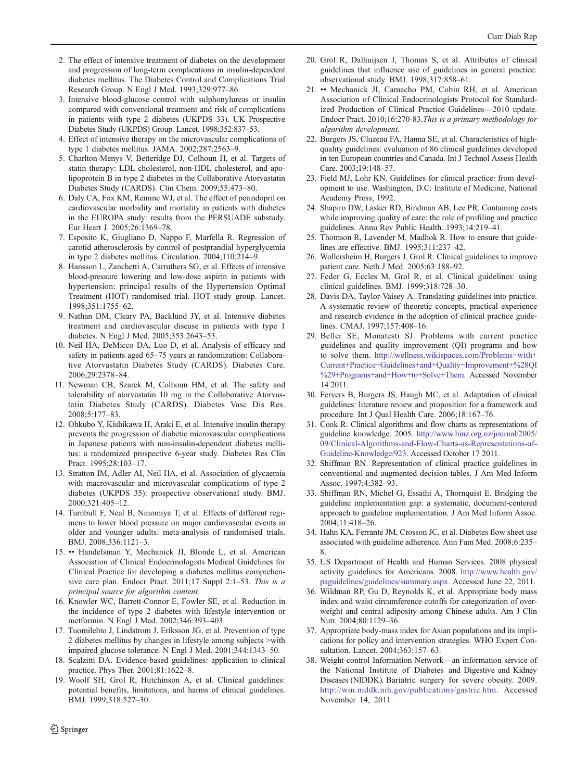- <span id="page-11-0"></span>2. The effect of intensive treatment of diabetes on the development and progression of long-term complications in insulin-dependent diabetes mellitus. The Diabetes Control and Complications Trial Research Group. N Engl J Med. 1993;329:977–86.
- 3. Intensive blood-glucose control with sulphonylureas or insulin compared with conventional treatment and risk of complications in patients with type 2 diabetes (UKPDS 33). UK Prospective Diabetes Study (UKPDS) Group. Lancet. 1998;352:837–53.
- 4. Effect of intensive therapy on the microvascular complications of type 1 diabetes mellitus. JAMA. 2002;287:2563–9.
- 5. Charlton-Menys V, Betteridge DJ, Colhoun H, et al. Targets of statin therapy: LDL cholesterol, non-HDL cholesterol, and apolipoprotein B in type 2 diabetes in the Collaborative Atorvastatin Diabetes Study (CARDS). Clin Chem. 2009;55:473–80.
- 6. Daly CA, Fox KM, Remme WJ, et al. The effect of perindopril on cardiovascular morbidity and mortality in patients with diabetes in the EUROPA study: results from the PERSUADE substudy. Eur Heart J. 2005;26:1369–78.
- 7. Esposito K, Giugliano D, Nappo F, Marfella R. Regression of carotid atherosclerosis by control of postprandial hyperglycemia in type 2 diabetes mellitus. Circulation. 2004;110:214–9.
- 8. Hansson L, Zanchetti A, Carruthers SG, et al. Effects of intensive blood-pressure lowering and low-dose aspirin in patients with hypertension: principal results of the Hypertension Optimal Treatment (HOT) randomised trial. HOT study group. Lancet. 1998;351:1755–62.
- 9. Nathan DM, Cleary PA, Backlund JY, et al. Intensive diabetes treatment and cardiovascular disease in patients with type 1 diabetes. N Engl J Med. 2005;353:2643–53.
- 10. Neil HA, DeMicco DA, Luo D, et al. Analysis of efficacy and safety in patients aged 65–75 years at randomization: Collaborative Atorvastatin Diabetes Study (CARDS). Diabetes Care. 2006;29:2378–84.
- 11. Newman CB, Szarek M, Colhoun HM, et al. The safety and tolerability of atorvastatin 10 mg in the Collaborative Atorvastatin Diabetes Study (CARDS). Diabetes Vasc Dis Res. 2008;5:177–83.
- 12. Ohkubo Y, Kishikawa H, Araki E, et al. Intensive insulin therapy prevents the progression of diabetic microvascular complications in Japanese patients with non-insulin-dependent diabetes mellitus: a randomized prospective 6-year study. Diabetes Res Clin Pract. 1995;28:103–17.
- 13. Stratton IM, Adler AI, Neil HA, et al. Association of glycaemia with macrovascular and microvascular complications of type 2 diabetes (UKPDS 35): prospective observational study. BMJ. 2000;321:405–12.
- 14. Turnbull F, Neal B, Ninomiya T, et al. Effects of different regimens to lower blood pressure on major cardiovascular events in older and younger adults: meta-analysis of randomised trials. BMJ. 2008;336:1121–3.
- 15. •• Handelsman Y, Mechanick JI, Blonde L, et al. American Association of Clinical Endocrinologists Medical Guidelines for Clinical Practice for developing a diabetes mellitus comprehensive care plan. Endocr Pract. 2011;17 Suppl 2:1-53. This is a principal source for algorithm content.
- 16. Knowler WC, Barrett-Connor E, Fowler SE, et al. Reduction in the incidence of type 2 diabetes with lifestyle intervention or metformin. N Engl J Med. 2002;346:393–403.
- 17. Tuomilehto J, Lindstrom J, Eriksson JG, et al. Prevention of type 2 diabetes mellitus by changes in lifestyle among subjects >with impaired glucose tolerance. N Engl J Med. 2001;344:1343–50.
- 18. Scalzitti DA. Evidence-based guidelines: application to clinical practice. Phys Ther. 2001;81:1622–8.
- 19. Woolf SH, Grol R, Hutchinson A, et al. Clinical guidelines: potential benefits, limitations, and harms of clinical guidelines. BMJ. 1999;318:527–30.
- 20. Grol R, Dalhuijsen J, Thomas S, et al. Attributes of clinical guidelines that influence use of guidelines in general practice: observational study. BMJ. 1998;317:858–61.
- 21. •• Mechanick JI, Camacho PM, Cobin RH, et al. American Association of Clinical Endocrinologists Protocol for Standardized Production of Clinical Practice Guidelines—2010 update. Endocr Pract. 2010;16:270-83.This is a primary methodology for algorithm development.
- 22. Burgers JS, Cluzeau FA, Hanna SE, et al. Characteristics of highquality guidelines: evaluation of 86 clinical guidelines developed in ten European countries and Canada. Int J Technol Assess Health Care. 2003;19:148–57.
- 23. Field MJ, Lohr KN. Guidelines for clinical practice: from development to use. Washington, D.C: Institute of Medicine, National Academy Press; 1992.
- 24. Shapiro DW, Lasker RD, Bindman AB, Lee PR. Containing costs while improving quality of care: the role of profiling and practice guidelines. Annu Rev Public Health. 1993;14:219–41.
- 25. Thomson R, Lavender M, Madhok R. How to ensure that guidelines are effective. BMJ. 1995;311:237–42.
- 26. Wollersheim H, Burgers J, Grol R. Clinical guidelines to improve patient care. Neth J Med. 2005;63:188–92.
- 27. Feder G, Eccles M, Grol R, et al. Clinical guidelines: using clinical guidelines. BMJ. 1999;318:728–30.
- 28. Davis DA, Taylor-Vaisey A. Translating guidelines into practice. A systematic review of theoretic concepts, practical experience and research evidence in the adoption of clinical practice guidelines. CMAJ. 1997;157:408–16.
- 29. Beller SE, Monatesti SJ. Problems with current practice guidelines and quality improvement (QI) programs and how to solve them. [http://wellness.wikispaces.com/Problems+with+](http://wellness.wikispaces.com/Problems+with+Current+Practice+Guidelines+and+Quality+Improvement+%28QI%29+Programs+and+How+to+Solve+Them) [Current+Practice+Guidelines+and+Quality+Improvement+%28QI](http://wellness.wikispaces.com/Problems+with+Current+Practice+Guidelines+and+Quality+Improvement+%28QI%29+Programs+and+How+to+Solve+Them) [%29+Programs+and+How+to+Solve+Them](http://wellness.wikispaces.com/Problems+with+Current+Practice+Guidelines+and+Quality+Improvement+%28QI%29+Programs+and+How+to+Solve+Them). Accessed November 14 2011.
- 30. Fervers B, Burgers JS, Haugh MC, et al. Adaptation of clinical guidelines: literature review and proposition for a framework and procedure. Int J Qual Health Care. 2006;18:167–76.
- 31. Cook R. Clinical algorithms and flow charts as representations of guideline knowledge. 2005. [http://www.hinz.org.nz/journal/2005/](http://www.hinz.org.nz/journal/2005/09/Clinical-Algorithms-and-Flow-Charts-as-Representations-of-Guideline-Knowledge/923) [09/Clinical-Algorithms-and-Flow-Charts-as-Representations-of-](http://www.hinz.org.nz/journal/2005/09/Clinical-Algorithms-and-Flow-Charts-as-Representations-of-Guideline-Knowledge/923)[Guideline-Knowledge/923.](http://www.hinz.org.nz/journal/2005/09/Clinical-Algorithms-and-Flow-Charts-as-Representations-of-Guideline-Knowledge/923) Accessed October 17 2011.
- 32. Shiffman RN. Representation of clinical practice guidelines in conventional and augmented decision tables. J Am Med Inform Assoc. 1997;4:382–93.
- 33. Shiffman RN, Michel G, Essaihi A, Thornquist E. Bridging the guideline implementation gap: a systematic, document-centered approach to guideline implementation. J Am Med Inform Assoc. 2004;11:418–26.
- 34. Hahn KA, Ferrante JM, Crosson JC, et al. Diabetes flow sheet use associated with guideline adherence. Ann Fam Med. 2008;6:235– 8.
- 35. US Department of Health and Human Services. 2008 physical activity guidelines for Americans. 2008. [http://www.health.gov/](http://www.health.gov/paguidelines/guidelines/summary.aspx) [paguidelines/guidelines/summary.aspx](http://www.health.gov/paguidelines/guidelines/summary.aspx). Accessed June 22, 2011.
- 36. Wildman RP, Gu D, Reynolds K, et al. Appropriate body mass index and waist circumference cutoffs for categorization of overweight and central adiposity among Chinese adults. Am J Clin Nutr. 2004;80:1129–36.
- 37. Appropriate body-mass index for Asian populations and its implications for policy and intervention strategies. WHO Expert Consultation. Lancet. 2004;363:157–63.
- 38. Weight-control Information Network—an information service of the National Institute of Diabetes and Digestive and Kidney Diseases (NIDDK). Bariatric surgery for severe obesity. 2009. [http://win.niddk.nih.gov/publications/gastric.htm.](http://win.niddk.nih.gov/publications/gastric.htm) Accessed November 14, 2011.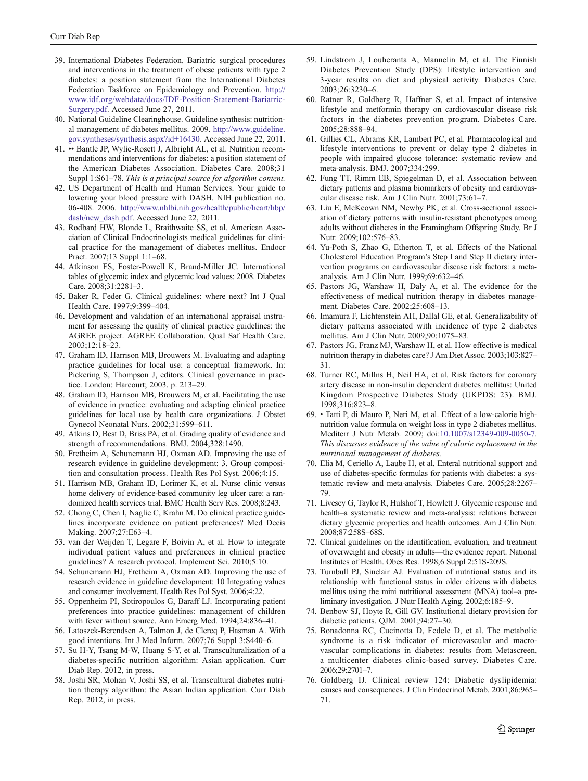- <span id="page-12-0"></span>39. International Diabetes Federation. Bariatric surgical procedures and interventions in the treatment of obese patients with type 2 diabetes: a position statement from the International Diabetes Federation Taskforce on Epidemiology and Prevention. [http://](http://www.idf.org/webdata/docs/IDF-Position-Statement-Bariatric-Surgery.pdf) [www.idf.org/webdata/docs/IDF-Position-Statement-Bariatric-](http://www.idf.org/webdata/docs/IDF-Position-Statement-Bariatric-Surgery.pdf)[Surgery.pdf.](http://www.idf.org/webdata/docs/IDF-Position-Statement-Bariatric-Surgery.pdf) Accessed June 27, 2011.
- 40. National Guideline Clearinghouse. Guideline synthesis: nutritional management of diabetes mellitus. 2009. [http://www.guideline.](http://www.guideline.gov.syntheses/synthesis.aspx?id+16430) [gov.syntheses/synthesis.aspx?id+16430.](http://www.guideline.gov.syntheses/synthesis.aspx?id+16430) Accessed June 22, 2011.
- 41. •• Bantle JP, Wylie-Rosett J, Albright AL, et al. Nutrition recommendations and interventions for diabetes: a position statement of the American Diabetes Association. Diabetes Care. 2008;31 Suppl 1:S61–78. This is a principal source for algorithm content.
- 42. US Department of Health and Human Services. Your guide to lowering your blood pressure with DASH. NIH publication no. 06-408. 2006. [http://www.nhlbi.nih.gov/health/public/heart/hbp/](http://www.nhlbi.nih.gov/health/public/heart/hbp/dash/new_dash.pdf) [dash/new\\_dash.pdf.](http://www.nhlbi.nih.gov/health/public/heart/hbp/dash/new_dash.pdf) Accessed June 22, 2011.
- 43. Rodbard HW, Blonde L, Braithwaite SS, et al. American Association of Clinical Endocrinologists medical guidelines for clinical practice for the management of diabetes mellitus. Endocr Pract. 2007;13 Suppl 1:1–68.
- 44. Atkinson FS, Foster-Powell K, Brand-Miller JC. International tables of glycemic index and glycemic load values: 2008. Diabetes Care. 2008;31:2281–3.
- 45. Baker R, Feder G. Clinical guidelines: where next? Int J Qual Health Care. 1997;9:399–404.
- 46. Development and validation of an international appraisal instrument for assessing the quality of clinical practice guidelines: the AGREE project. AGREE Collaboration. Qual Saf Health Care. 2003;12:18–23.
- 47. Graham ID, Harrison MB, Brouwers M. Evaluating and adapting practice guidelines for local use: a conceptual framework. In: Pickering S, Thompson J, editors. Clinical governance in practice. London: Harcourt; 2003. p. 213–29.
- 48. Graham ID, Harrison MB, Brouwers M, et al. Facilitating the use of evidence in practice: evaluating and adapting clinical practice guidelines for local use by health care organizations. J Obstet Gynecol Neonatal Nurs. 2002;31:599–611.
- 49. Atkins D, Best D, Briss PA, et al. Grading quality of evidence and strength of recommendations. BMJ. 2004;328:1490.
- 50. Fretheim A, Schunemann HJ, Oxman AD. Improving the use of research evidence in guideline development: 3. Group composition and consultation process. Health Res Pol Syst. 2006;4:15.
- 51. Harrison MB, Graham ID, Lorimer K, et al. Nurse clinic versus home delivery of evidence-based community leg ulcer care: a randomized health services trial. BMC Health Serv Res. 2008;8:243.
- 52. Chong C, Chen I, Naglie C, Krahn M. Do clinical practice guidelines incorporate evidence on patient preferences? Med Decis Making. 2007;27:E63–4.
- 53. van der Weijden T, Legare F, Boivin A, et al. How to integrate individual patient values and preferences in clinical practice guidelines? A research protocol. Implement Sci. 2010;5:10.
- 54. Schunemann HJ, Fretheim A, Oxman AD. Improving the use of research evidence in guideline development: 10 Integrating values and consumer involvement. Health Res Pol Syst. 2006;4:22.
- 55. Oppenheim PI, Sotiropoulos G, Baraff LJ. Incorporating patient preferences into practice guidelines: management of children with fever without source. Ann Emerg Med. 1994;24:836–41.
- 56. Latoszek-Berendsen A, Talmon J, de Clercq P, Hasman A. With good intentions. Int J Med Inform. 2007;76 Suppl 3:S440–6.
- 57. Su H-Y, Tsang M-W, Huang S-Y, et al. Transculturalization of a diabetes-specific nutrition algorithm: Asian application. Curr Diab Rep. 2012, in press.
- 58. Joshi SR, Mohan V, Joshi SS, et al. Transcultural diabetes nutrition therapy algorithm: the Asian Indian application. Curr Diab Rep. 2012, in press.
- 59. Lindstrom J, Louheranta A, Mannelin M, et al. The Finnish Diabetes Prevention Study (DPS): lifestyle intervention and 3-year results on diet and physical activity. Diabetes Care. 2003;26:3230–6.
- 60. Ratner R, Goldberg R, Haffner S, et al. Impact of intensive lifestyle and metformin therapy on cardiovascular disease risk factors in the diabetes prevention program. Diabetes Care. 2005;28:888–94.
- 61. Gillies CL, Abrams KR, Lambert PC, et al. Pharmacological and lifestyle interventions to prevent or delay type 2 diabetes in people with impaired glucose tolerance: systematic review and meta-analysis. BMJ. 2007;334:299.
- 62. Fung TT, Rimm EB, Spiegelman D, et al. Association between dietary patterns and plasma biomarkers of obesity and cardiovascular disease risk. Am J Clin Nutr. 2001;73:61–7.
- 63. Liu E, McKeown NM, Newby PK, et al. Cross-sectional association of dietary patterns with insulin-resistant phenotypes among adults without diabetes in the Framingham Offspring Study. Br J Nutr. 2009;102:576–83.
- 64. Yu-Poth S, Zhao G, Etherton T, et al. Effects of the National Cholesterol Education Program's Step I and Step II dietary intervention programs on cardiovascular disease risk factors: a metaanalysis. Am J Clin Nutr. 1999;69:632–46.
- 65. Pastors JG, Warshaw H, Daly A, et al. The evidence for the effectiveness of medical nutrition therapy in diabetes management. Diabetes Care. 2002;25:608–13.
- 66. Imamura F, Lichtenstein AH, Dallal GE, et al. Generalizability of dietary patterns associated with incidence of type 2 diabetes mellitus. Am J Clin Nutr. 2009;90:1075–83.
- 67. Pastors JG, Franz MJ, Warshaw H, et al. How effective is medical nutrition therapy in diabetes care? J Am Diet Assoc. 2003;103:827– 31.
- 68. Turner RC, Millns H, Neil HA, et al. Risk factors for coronary artery disease in non-insulin dependent diabetes mellitus: United Kingdom Prospective Diabetes Study (UKPDS: 23). BMJ. 1998;316:823–8.
- 69. Tatti P, di Mauro P, Neri M, et al. Effect of a low-calorie highnutrition value formula on weight loss in type 2 diabetes mellitus. Mediterr J Nutr Metab. 2009; doi:[10.1007/s12349-009-0050-7](http://dx.doi.org/10.1007/s12349-009-0050-7). This discusses evidence of the value of calorie replacement in the nutritional management of diabetes.
- 70. Elia M, Ceriello A, Laube H, et al. Enteral nutritional support and use of diabetes-specific formulas for patients with diabetes: a systematic review and meta-analysis. Diabetes Care. 2005;28:2267– 79.
- 71. Livesey G, Taylor R, Hulshof T, Howlett J. Glycemic response and health–a systematic review and meta-analysis: relations between dietary glycemic properties and health outcomes. Am J Clin Nutr. 2008;87:258S–68S.
- 72. Clinical guidelines on the identification, evaluation, and treatment of overweight and obesity in adults—the evidence report. National Institutes of Health. Obes Res. 1998;6 Suppl 2:51S-209S.
- 73. Turnbull PJ, Sinclair AJ. Evaluation of nutritional status and its relationship with functional status in older citizens with diabetes mellitus using the mini nutritional assessment (MNA) tool–a preliminary investigation. J Nutr Health Aging. 2002;6:185–9.
- 74. Benbow SJ, Hoyte R, Gill GV. Institutional dietary provision for diabetic patients. QJM. 2001;94:27–30.
- 75. Bonadonna RC, Cucinotta D, Fedele D, et al. The metabolic syndrome is a risk indicator of microvascular and macrovascular complications in diabetes: results from Metascreen, a multicenter diabetes clinic-based survey. Diabetes Care. 2006;29:2701–7.
- 76. Goldberg IJ. Clinical review 124: Diabetic dyslipidemia: causes and consequences. J Clin Endocrinol Metab. 2001;86:965– 71.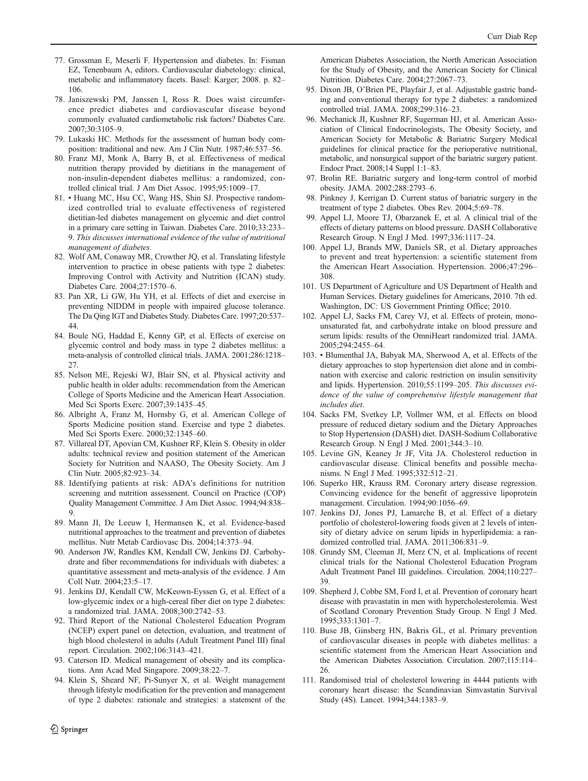- <span id="page-13-0"></span>77. Grossman E, Meserli F. Hypertension and diabetes. In: Fisman EZ, Tenenbaum A, editors. Cardiovascular diabetology: clinical, metabolic and inflammatory facets. Basel: Karger; 2008. p. 82– 106.
- 78. Janiszewski PM, Janssen I, Ross R. Does waist circumference predict diabetes and cardiovascular disease beyond commonly evaluated cardiometabolic risk factors? Diabetes Care. 2007;30:3105–9.
- 79. Lukaski HC. Methods for the assessment of human body composition: traditional and new. Am J Clin Nutr. 1987;46:537–56.
- 80. Franz MJ, Monk A, Barry B, et al. Effectiveness of medical nutrition therapy provided by dietitians in the management of non-insulin-dependent diabetes mellitus: a randomized, controlled clinical trial. J Am Diet Assoc. 1995;95:1009–17.
- 81. Huang MC, Hsu CC, Wang HS, Shin SJ. Prospective randomized controlled trial to evaluate effectiveness of registered dietitian-led diabetes management on glycemic and diet control in a primary care setting in Taiwan. Diabetes Care. 2010;33:233– 9. This discusses international evidence of the value of nutritional management of diabetes.
- 82. Wolf AM, Conaway MR, Crowther JQ, et al. Translating lifestyle intervention to practice in obese patients with type 2 diabetes: Improving Control with Activity and Nutrition (ICAN) study. Diabetes Care. 2004;27:1570–6.
- 83. Pan XR, Li GW, Hu YH, et al. Effects of diet and exercise in preventing NIDDM in people with impaired glucose tolerance. The Da Qing IGT and Diabetes Study. Diabetes Care. 1997;20:537– 44.
- 84. Boule NG, Haddad E, Kenny GP, et al. Effects of exercise on glycemic control and body mass in type 2 diabetes mellitus: a meta-analysis of controlled clinical trials. JAMA. 2001;286:1218–  $27.$
- 85. Nelson ME, Rejeski WJ, Blair SN, et al. Physical activity and public health in older adults: recommendation from the American College of Sports Medicine and the American Heart Association. Med Sci Sports Exerc. 2007;39:1435–45.
- 86. Albright A, Franz M, Hornsby G, et al. American College of Sports Medicine position stand. Exercise and type 2 diabetes. Med Sci Sports Exerc. 2000;32:1345–60.
- 87. Villareal DT, Apovian CM, Kushner RF, Klein S. Obesity in older adults: technical review and position statement of the American Society for Nutrition and NAASO, The Obesity Society. Am J Clin Nutr. 2005;82:923–34.
- 88. Identifying patients at risk: ADA's definitions for nutrition screening and nutrition assessment. Council on Practice (COP) Quality Management Committee. J Am Diet Assoc. 1994;94:838– 9.
- 89. Mann JI, De Leeuw I, Hermansen K, et al. Evidence-based nutritional approaches to the treatment and prevention of diabetes mellitus. Nutr Metab Cardiovasc Dis. 2004;14:373–94.
- 90. Anderson JW, Randles KM, Kendall CW, Jenkins DJ. Carbohydrate and fiber recommendations for individuals with diabetes: a quantitative assessment and meta-analysis of the evidence. J Am Coll Nutr. 2004;23:5–17.
- 91. Jenkins DJ, Kendall CW, McKeown-Eyssen G, et al. Effect of a low-glycemic index or a high-cereal fiber diet on type 2 diabetes: a randomized trial. JAMA. 2008;300:2742–53.
- 92. Third Report of the National Cholesterol Education Program (NCEP) expert panel on detection, evaluation, and treatment of high blood cholesterol in adults (Adult Treatment Panel III) final report. Circulation. 2002;106:3143–421.
- 93. Caterson ID. Medical management of obesity and its complications. Ann Acad Med Singapore. 2009;38:22–7.
- 94. Klein S, Sheard NF, Pi-Sunyer X, et al. Weight management through lifestyle modification for the prevention and management of type 2 diabetes: rationale and strategies: a statement of the

for the Study of Obesity, and the American Society for Clinical Nutrition. Diabetes Care. 2004;27:2067–73.

95. Dixon JB, O'Brien PE, Playfair J, et al. Adjustable gastric banding and conventional therapy for type 2 diabetes: a randomized controlled trial. JAMA. 2008;299:316–23.

American Diabetes Association, the North American Association

- 96. Mechanick JI, Kushner RF, Sugerman HJ, et al. American Association of Clinical Endocrinologists, The Obesity Society, and American Society for Metabolic & Bariatric Surgery Medical guidelines for clinical practice for the perioperative nutritional, metabolic, and nonsurgical support of the bariatric surgery patient. Endocr Pract. 2008;14 Suppl 1:1–83.
- 97. Brolin RE. Bariatric surgery and long-term control of morbid obesity. JAMA. 2002;288:2793–6.
- 98. Pinkney J, Kerrigan D. Current status of bariatric surgery in the treatment of type 2 diabetes. Obes Rev. 2004;5:69–78.
- 99. Appel LJ, Moore TJ, Obarzanek E, et al. A clinical trial of the effects of dietary patterns on blood pressure. DASH Collaborative Research Group. N Engl J Med. 1997;336:1117–24.
- 100. Appel LJ, Brands MW, Daniels SR, et al. Dietary approaches to prevent and treat hypertension: a scientific statement from the American Heart Association. Hypertension. 2006;47:296– 308.
- 101. US Department of Agriculture and US Department of Health and Human Services. Dietary guidelines for Americans, 2010. 7th ed. Washington, DC: US Government Printing Office; 2010.
- 102. Appel LJ, Sacks FM, Carey VJ, et al. Effects of protein, monounsaturated fat, and carbohydrate intake on blood pressure and serum lipids: results of the OmniHeart randomized trial. JAMA. 2005;294:2455–64.
- 103. Blumenthal JA, Babyak MA, Sherwood A, et al. Effects of the dietary approaches to stop hypertension diet alone and in combination with exercise and caloric restriction on insulin sensitivity and lipids. Hypertension. 2010;55:1199–205. This discusses evidence of the value of comprehensive lifestyle management that includes diet.
- 104. Sacks FM, Svetkey LP, Vollmer WM, et al. Effects on blood pressure of reduced dietary sodium and the Dietary Approaches to Stop Hypertension (DASH) diet. DASH-Sodium Collaborative Research Group. N Engl J Med. 2001;344:3–10.
- 105. Levine GN, Keaney Jr JF, Vita JA. Cholesterol reduction in cardiovascular disease. Clinical benefits and possible mechanisms. N Engl J Med. 1995;332:512–21.
- 106. Superko HR, Krauss RM. Coronary artery disease regression. Convincing evidence for the benefit of aggressive lipoprotein management. Circulation. 1994;90:1056–69.
- 107. Jenkins DJ, Jones PJ, Lamarche B, et al. Effect of a dietary portfolio of cholesterol-lowering foods given at 2 levels of intensity of dietary advice on serum lipids in hyperlipidemia: a randomized controlled trial. JAMA. 2011;306:831–9.
- 108. Grundy SM, Cleeman JI, Merz CN, et al. Implications of recent clinical trials for the National Cholesterol Education Program Adult Treatment Panel III guidelines. Circulation. 2004;110:227– 39.
- 109. Shepherd J, Cobbe SM, Ford I, et al. Prevention of coronary heart disease with pravastatin in men with hypercholesterolemia. West of Scotland Coronary Prevention Study Group. N Engl J Med. 1995;333:1301–7.
- 110. Buse JB, Ginsberg HN, Bakris GL, et al. Primary prevention of cardiovascular diseases in people with diabetes mellitus: a scientific statement from the American Heart Association and the American Diabetes Association. Circulation. 2007;115:114– 26.
- 111. Randomised trial of cholesterol lowering in 4444 patients with coronary heart disease: the Scandinavian Simvastatin Survival Study (4S). Lancet. 1994;344:1383–9.